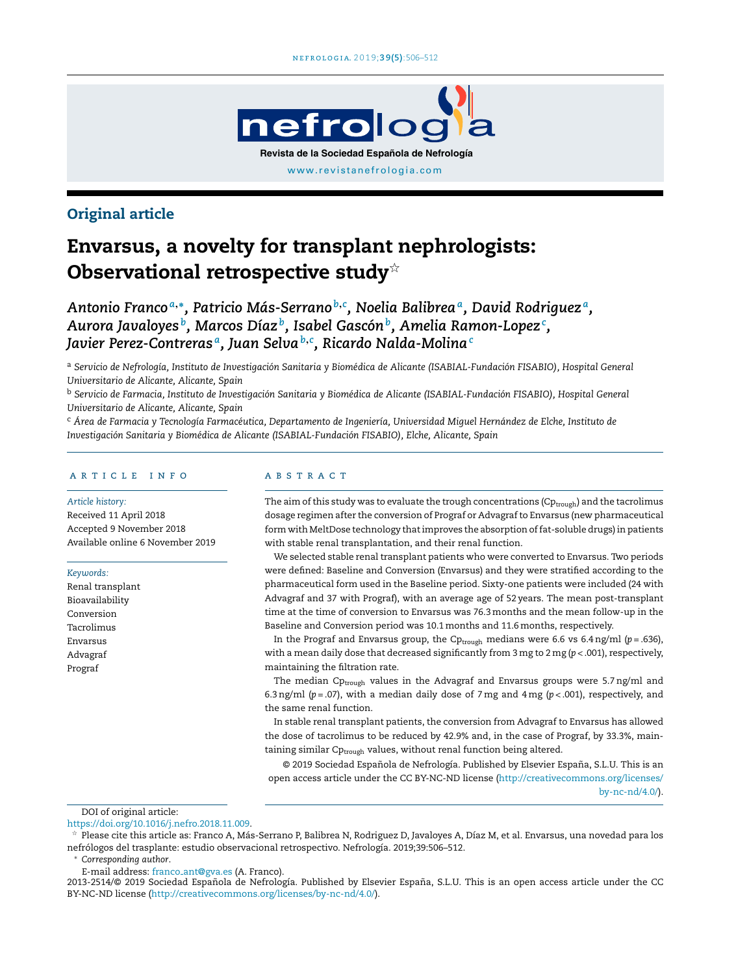

## Original article

# Envarsus, a novelty for transplant nephrologists: Observational retrospective study $^\star$

*Antonio Franco <sup>a</sup>*,<sup>∗</sup> *, Patricio Más-Serrano <sup>b</sup>*,*<sup>c</sup> , Noelia Balibrea<sup>a</sup> , David Rodriguez <sup>a</sup> , Aurora Javaloyes <sup>b</sup> , Marcos Díaz <sup>b</sup> , Isabel Gascón<sup>b</sup> , Amelia Ramon-Lopez<sup>c</sup> , Javier Perez-Contreras <sup>a</sup> , Juan Selva<sup>b</sup>*,*<sup>c</sup> , Ricardo Nalda-Molina<sup>c</sup>*

a Servicio de Nefrología, Instituto de Investigación Sanitaria y Biomédica de Alicante (ISABIAL-Fundación FISABIO), Hospital General *Universitario de Alicante, Alicante, Spain*

<sup>b</sup> Servicio de Farmacia, Instituto de Investigación Sanitaria y Biomédica de Alicante (ISABIAL-Fundación FISABIO), Hospital General *Universitario de Alicante, Alicante, Spain*

c Área de Farmacia y Tecnología Farmacéutica, Departamento de Ingeniería, Universidad Miguel Hernández de Elche, Instituto de *Investigación Sanitaria y Biomédica de Alicante (ISABIAL-Fundación FISABIO), Elche, Alicante, Spain*

#### a r t i c l e i n f o

#### *Article history:*

Received 11 April 2018 Accepted 9 November 2018 Available online 6 November 2019

#### *Keywords:*

Renal transplant Bioavailability Conversion Tacrolimus Envarsus Advagraf Prograf

#### a b s t r a c t

The aim of this study was to evaluate the trough concentrations ( $Cp_{trough}$ ) and the tacrolimus dosage regimen after the conversion of Prograf or Advagrafto Envarsus (new pharmaceutical form with MeltDose technology thatimproves the absorption offat-soluble drugs) in patients with stable renal transplantation, and their renal function.

We selected stable renal transplant patients who were converted to Envarsus. Two periods were defined: Baseline and Conversion (Envarsus) and they were stratified according to the pharmaceutical form used in the Baseline period. Sixty-one patients were included (24 with Advagraf and 37 with Prograf), with an average age of 52 years. The mean post-transplant time at the time of conversion to Envarsus was 76.3months and the mean follow-up in the Baseline and Conversion period was 10.1months and 11.6 months, respectively.

In the Prograf and Envarsus group, the C $p_{\text{trough}}$  medians were 6.6 vs 6.4ng/ml ( $p = .636$ ), with a mean daily dose that decreased significantly from 3mg to 2mg (*p* < .001), respectively, maintaining the filtration rate.

The median  $Cp_{trough}$  values in the Advagraf and Envarsus groups were 5.7 ng/ml and 6.3 ng/ml ( $p = .07$ ), with a median daily dose of 7 mg and 4 mg ( $p < .001$ ), respectively, and the same renal function.

In stable renal transplant patients, the conversion from Advagraf to Envarsus has allowed the dose of tacrolimus to be reduced by 42.9% and, in the case of Prograf, by 33.3%, maintaining similar  $Cp_{trough}$  values, without renal function being altered.

© 2019 Sociedad Española de Nefrología. Published by Elsevier España, S.L.U. This is an open access article under the CC BY-NC-ND license ([http://creativecommons.org/licenses/](http://creativecommons.org/licenses/by-nc-nd/4.0/) [by-nc-nd/4.0/](http://creativecommons.org/licenses/by-nc-nd/4.0/)).

DOI of original article:

<https://doi.org/10.1016/j.nefro.2018.11.009>.

 $^\star$  Please cite this article as: Franco A, Más-Serrano P, Balibrea N, Rodriguez D, Javaloyes A, Díaz M, et al. Envarsus, una novedad para los nefrólogos del trasplante: estudio observacional retrospectivo. Nefrología. 2019;39:506–512.

<sup>∗</sup> *Corresponding author*.

E-mail address: franco [ant@gva.es](mailto:franco_ant@gva.es) (A. Franco).

2013-2514/© 2019 Sociedad Española de Nefrología. Published by Elsevier España, S.L.U. This is an open access article under the CC BY-NC-ND license [\(http://creativecommons.org/licenses/by-nc-nd/4.0/](http://creativecommons.org/licenses/by-nc-nd/4.0/)).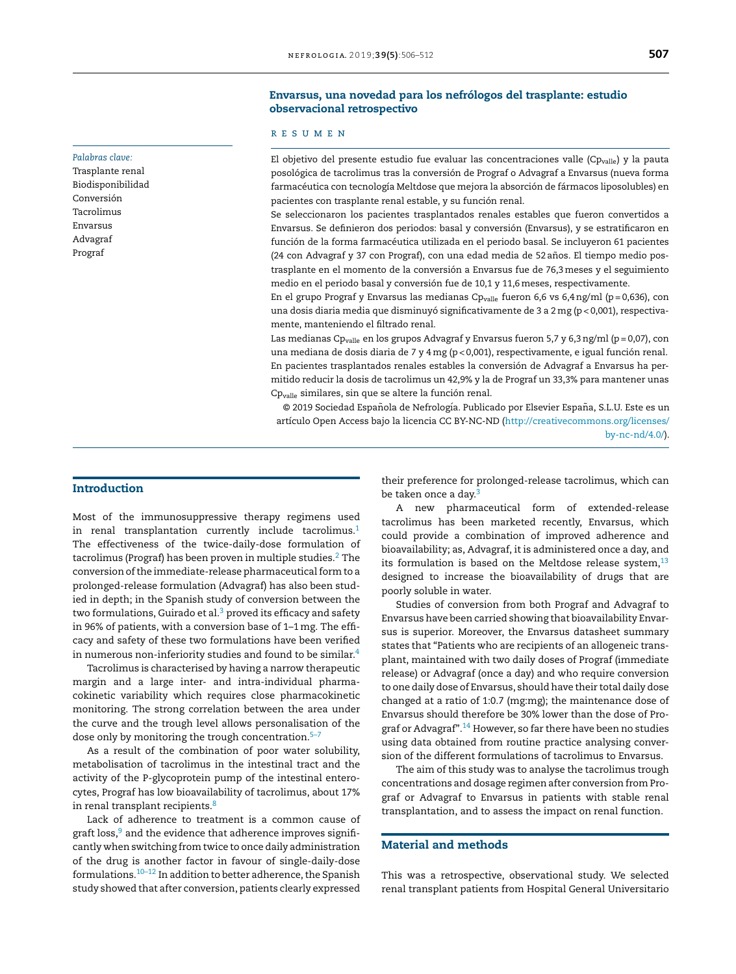### Envarsus, una novedad para los nefrólogos del trasplante: estudio observacional retrospectivo

#### r e s u m e n

El objetivo del presente estudio fue evaluar las concentraciones valle  $(Cp_{\text{value}})$  y la pauta posológica de tacrolimus tras la conversión de Prograf o Advagraf a Envarsus (nueva forma farmacéutica con tecnología Meltdose que mejora la absorción de fármacos liposolubles) en pacientes con trasplante renal estable, y su función renal.

Se seleccionaron los pacientes trasplantados renales estables que fueron convertidos a Envarsus. Se definieron dos periodos: basal y conversión (Envarsus), y se estratificaron en función de la forma farmacéutica utilizada en el periodo basal. Se incluyeron 61 pacientes (24 con Advagraf y 37 con Prograf), con una edad media de 52 años. El tiempo medio postrasplante en el momento de la conversión a Envarsus fue de 76,3meses y el seguimiento medio en el periodo basal y conversión fue de 10,1 y 11,6 meses, respectivamente.

En el grupo Prograf y Envarsus las medianas C $p_{value}$  fueron 6,6 vs 6,4 ng/ml (p = 0,636), con una dosis diaria media que disminuyó significativamente de 3 a 2 mg (p < 0,001), respectivamente, manteniendo el filtrado renal.

Las medianas Cp<sub>valle</sub> en los grupos Advagraf y Envarsus fueron 5,7 y 6,3 ng/ml (p = 0,07), con una mediana de dosis diaria de 7 y 4 mg (p < 0,001), respectivamente, e igual función renal. En pacientes trasplantados renales estables la conversión de Advagraf a Envarsus ha permitido reducir la dosis de tacrolimus un 42,9% y la de Prograf un 33,3% para mantener unas Cpvalle similares, sin que se altere la función renal.

© 2019 Sociedad Española de Nefrología. Publicado por Elsevier España, S.L.U. Este es un artículo Open Access bajo la licencia CC BY-NC-ND ([http://creativecommons.org/licenses/](http://creativecommons.org/licenses/by-nc-nd/4.0/) [by-nc-nd/4.0/](http://creativecommons.org/licenses/by-nc-nd/4.0/)).

#### Introduction

*Palabras clave:* Trasplante renal Biodisponibilidad Conversión Tacrolimus Envarsus Advagraf Prograf

Most of the immunosuppressive therapy regimens used in renal transplantation currently include tacrolimus.<sup>[1](#page-5-0)</sup> The effectiveness of the twice-daily-dose formulation of tacrolimus (Prograf) has been proven in multiple studies.<sup>[2](#page-5-0)</sup> The conversion of the immediate-release pharmaceutical form to a prolonged-release formulation (Advagraf) has also been studied in depth; in the Spanish study of conversion between the two formulations, Guirado et al. $3$  [p](#page-5-0)roved its efficacy and safety in 96% of patients, with a conversion base of 1–1mg. The efficacy and safety of these two formulations have been verified in numerous non-inferiority studies and found to be similar. $4$ 

Tacrolimus is characterised by having a narrow therapeutic margin and a large inter- and intra-individual pharmacokinetic variability which requires close pharmacokinetic monitoring. The strong correlation between the area under the curve and the trough level allows personalisation of the dose only by monitoring the trough concentration.<sup>[5–7](#page-5-0)</sup>

As a result of the combination of poor water solubility, metabolisation of tacrolimus in the intestinal tract and the activity of the P-glycoprotein pump of the intestinal enterocytes, Prograf has low bioavailability of tacrolimus, about 17% in renal transplant recipients.<sup>[8](#page-5-0)</sup>

Lack of adherence to treatment is a common cause of graft loss, $9$  and the evidence that adherence improves significantly when switching from twice to once daily administration of the drug is another factor in favour of single-daily-dose formulations. $10-12$  In addition to better adherence, the Spanish study showed that after conversion, patients clearly expressed

their preference for prolonged-release tacrolimus, which can be taken once a day.<sup>[3](#page-5-0)</sup>

A new pharmaceutical form of extended-release tacrolimus has been marketed recently, Envarsus, which could provide a combination of improved adherence and bioavailability; as, Advagraf, it is administered once a day, and its formulation is based on the Meltdose release system, $13$ designed to increase the bioavailability of drugs that are poorly soluble in water.

Studies of conversion from both Prograf and Advagraf to Envarsus have been carried showing that bioavailability Envarsus is superior. Moreover, the Envarsus datasheet summary states that "Patients who are recipients of an allogeneic transplant, maintained with two daily doses of Prograf (immediate release) or Advagraf (once a day) and who require conversion to one daily dose of Envarsus, should have their total daily dose changed at a ratio of 1:0.7 (mg:mg); the maintenance dose of Envarsus should therefore be 30% lower than the dose of Pro-graf or Advagraf".<sup>[14](#page-5-0)</sup> However, so far there have been no studies using data obtained from routine practice analysing conversion of the different formulations of tacrolimus to Envarsus.

The aim of this study was to analyse the tacrolimus trough concentrations and dosage regimen after conversion from Prograf or Advagraf to Envarsus in patients with stable renal transplantation, and to assess the impact on renal function.

#### Material and methods

This was a retrospective, observational study. We selected renal transplant patients from Hospital General Universitario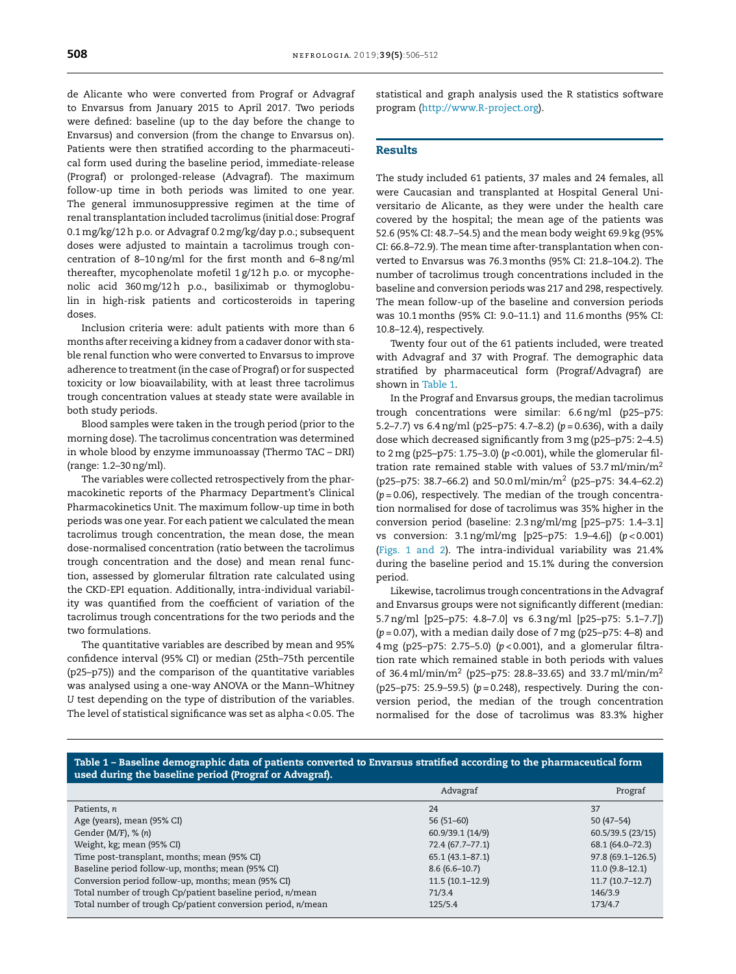<span id="page-2-0"></span>de Alicante who were converted from Prograf or Advagraf to Envarsus from January 2015 to April 2017. Two periods were defined: baseline (up to the day before the change to Envarsus) and conversion (from the change to Envarsus on). Patients were then stratified according to the pharmaceutical form used during the baseline period, immediate-release (Prograf) or prolonged-release (Advagraf). The maximum follow-up time in both periods was limited to one year. The general immunosuppressive regimen at the time of renal transplantation included tacrolimus (initial dose: Prograf 0.1mg/kg/12h p.o. or Advagraf 0.2mg/kg/day p.o.; subsequent doses were adjusted to maintain a tacrolimus trough concentration of 8–10ng/ml for the first month and 6–8ng/ml thereafter, mycophenolate mofetil 1 g/12h p.o. or mycophenolic acid 360mg/12h p.o., basiliximab or thymoglobulin in high-risk patients and corticosteroids in tapering doses.

Inclusion criteria were: adult patients with more than 6 months after receiving a kidney from a cadaver donor with stable renal function who were converted to Envarsus to improve adherence to treatment (in the case of Prograf) or for suspected toxicity or low bioavailability, with at least three tacrolimus trough concentration values at steady state were available in both study periods.

Blood samples were taken in the trough period (prior to the morning dose). The tacrolimus concentration was determined in whole blood by enzyme immunoassay (Thermo TAC – DRI) (range: 1.2–30ng/ml).

The variables were collected retrospectively from the pharmacokinetic reports of the Pharmacy Department's Clinical Pharmacokinetics Unit. The maximum follow-up time in both periods was one year. For each patient we calculated the mean tacrolimus trough concentration, the mean dose, the mean dose-normalised concentration (ratio between the tacrolimus trough concentration and the dose) and mean renal function, assessed by glomerular filtration rate calculated using the CKD-EPI equation. Additionally, intra-individual variability was quantified from the coefficient of variation of the tacrolimus trough concentrations for the two periods and the two formulations.

The quantitative variables are described by mean and 95% confidence interval (95% CI) or median (25th–75th percentile (p25–p75)) and the comparison of the quantitative variables was analysed using a one-way ANOVA or the Mann–Whitney *U* test depending on the type of distribution of the variables. The level of statistical significance was set as alpha < 0.05. The statistical and graph analysis used the R statistics software program [\(http://www.R-project.org\)](http://www.r-project.org/).

#### Results

The study included 61 patients, 37 males and 24 females, all were Caucasian and transplanted at Hospital General Universitario de Alicante, as they were under the health care covered by the hospital; the mean age of the patients was 52.6 (95% CI: 48.7–54.5) and the mean body weight 69.9 kg (95% CI: 66.8–72.9). The mean time after-transplantation when converted to Envarsus was 76.3months (95% CI: 21.8–104.2). The number of tacrolimus trough concentrations included in the baseline and conversion periods was 217 and 298, respectively. The mean follow-up of the baseline and conversion periods was 10.1months (95% CI: 9.0–11.1) and 11.6months (95% CI: 10.8–12.4), respectively.

Twenty four out of the 61 patients included, were treated with Advagraf and 37 with Prograf. The demographic data stratified by pharmaceutical form (Prograf/Advagraf) are shown in Table 1.

In the Prograf and Envarsus groups, the median tacrolimus trough concentrations were similar: 6.6ng/ml (p25–p75: 5.2–7.7) vs 6.4ng/ml (p25–p75: 4.7–8.2) (*p* = 0.636), with a daily dose which decreased significantly from 3 mg (p25–p75: 2–4.5) to 2 mg (p25–p75: 1.75–3.0) (*p* <0.001), while the glomerular filtration rate remained stable with values of 53.7ml/min/m<sup>2</sup> (p25–p75: 38.7–66.2) and 50.0ml/min/m<sup>2</sup> (p25–p75: 34.4–62.2) (*p* = 0.06), respectively. The median of the trough concentration normalised for dose of tacrolimus was 35% higher in the conversion period (baseline: 2.3ng/ml/mg [p25–p75: 1.4–3.1] vs conversion: 3.1ng/ml/mg [p25–p75: 1.9–4.6]) (*p* < 0.001) ([Figs.](#page-3-0) 1 and 2). The intra-individual variability was 21.4% during the baseline period and 15.1% during the conversion period.

Likewise, tacrolimus trough concentrations in the Advagraf and Envarsus groups were not significantly different (median: 5.7ng/ml [p25–p75: 4.8–7.0] vs 6.3ng/ml [p25–p75: 5.1–7.7]) (*p* = 0.07), with a median daily dose of 7 mg (p25–p75: 4–8) and 4 mg (p25–p75: 2.75–5.0) (*p* < 0.001), and a glomerular filtration rate which remained stable in both periods with values of 36.4 ml/min/m<sup>2</sup> (p25–p75: 28.8–33.65) and 33.7 ml/min/m<sup>2</sup> (p25–p75: 25.9–59.5) (*p* = 0.248), respectively. During the conversion period, the median of the trough concentration normalised for the dose of tacrolimus was 83.3% higher

| $\mathbf{r}$ $\mathbf{r}$<br>$\blacksquare$                                                                           |  |
|-----------------------------------------------------------------------------------------------------------------------|--|
| used during the baseline period (Prograf or Advagraf).                                                                |  |
| Table 1 – Baseline demographic data of patients converted to Envarsus stratified according to the pharmaceutical form |  |

|                                                             | Advagraf            | Prograf              |
|-------------------------------------------------------------|---------------------|----------------------|
| Patients, n                                                 | 24                  | 37                   |
| Age (years), mean (95% CI)                                  | $56(51-60)$         | $50(47-54)$          |
| Gender $(M/F)$ , % $(n)$                                    | 60.9/39.1 (14/9)    | 60.5/39.5 (23/15)    |
| Weight, kg; mean (95% CI)                                   | 72.4 (67.7-77.1)    | 68.1 (64.0-72.3)     |
| Time post-transplant, months; mean (95% CI)                 | $65.1(43.1 - 87.1)$ | $97.8(69.1 - 126.5)$ |
| Baseline period follow-up, months; mean (95% CI)            | $8.6(6.6-10.7)$     | $11.0(9.8-12.1)$     |
| Conversion period follow-up, months; mean (95% CI)          | $11.5(10.1-12.9)$   | $11.7(10.7-12.7)$    |
| Total number of trough Cp/patient baseline period, n/mean   | 71/3.4              | 146/3.9              |
| Total number of trough Cp/patient conversion period, n/mean | 125/5.4             | 173/4.7              |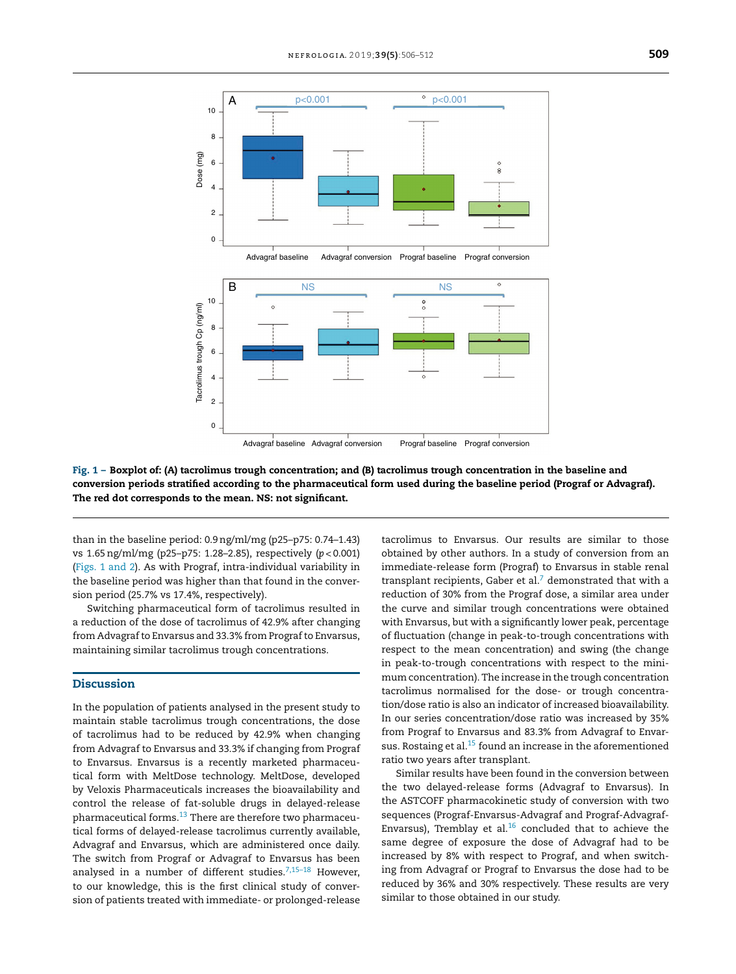<span id="page-3-0"></span>

### Fig. 1 – Boxplot of: (A) tacrolimus trough concentration; and (B) tacrolimus trough concentration in the baseline and conversion periods stratified according to the pharmaceutical form used during the baseline period (Prograf or Advagraf). The red dot corresponds to the mean. NS: not significant.

than in the baseline period: 0.9ng/ml/mg (p25–p75: 0.74–1.43) vs 1.65ng/ml/mg (p25–p75: 1.28–2.85), respectively (*p* < 0.001) (Figs. 1 and 2). As with Prograf, intra-individual variability in the baseline period was higher than that found in the conversion period (25.7% vs 17.4%, respectively).

Switching pharmaceutical form of tacrolimus resulted in a reduction of the dose of tacrolimus of 42.9% after changing from Advagraf to Envarsus and 33.3% from Prograf to Envarsus, maintaining similar tacrolimus trough concentrations.

#### Discussion

In the population of patients analysed in the present study to maintain stable tacrolimus trough concentrations, the dose of tacrolimus had to be reduced by 42.9% when changing from Advagraf to Envarsus and 33.3% if changing from Prograf to Envarsus. Envarsus is a recently marketed pharmaceutical form with MeltDose technology. MeltDose, developed by Veloxis Pharmaceuticals increases the bioavailability and control the release of fat-soluble drugs in delayed-release pharmaceutical forms.<sup>[13](#page-5-0)</sup> There are therefore two pharmaceutical forms of delayed-release tacrolimus currently available, Advagraf and Envarsus, which are administered once daily. The switch from Prograf or Advagraf to Envarsus has been analysed in a number of different studies. $7,15-18$  However, to our knowledge, this is the first clinical study of conversion of patients treated with immediate- or prolonged-release

tacrolimus to Envarsus. Our results are similar to those obtained by other authors. In a study of conversion from an immediate-release form (Prograf) to Envarsus in stable renal transplant recipients, Gaber et al. $^7$  $^7$  demonstrated that with a reduction of 30% from the Prograf dose, a similar area under the curve and similar trough concentrations were obtained with Envarsus, but with a significantly lower peak, percentage of fluctuation (change in peak-to-trough concentrations with respect to the mean concentration) and swing (the change in peak-to-trough concentrations with respect to the minimum concentration). The increase in the trough concentration tacrolimus normalised for the dose- or trough concentration/dose ratio is also an indicator of increased bioavailability. In our series concentration/dose ratio was increased by 35% from Prograf to Envarsus and 83.3% from Advagraf to Envar-sus. Rostaing et al.<sup>[15](#page-5-0)</sup> found an increase in the aforementioned ratio two years after transplant.

Similar results have been found in the conversion between the two delayed-release forms (Advagraf to Envarsus). In the ASTCOFF pharmacokinetic study of conversion with two sequences (Prograf-Envarsus-Advagraf and Prograf-Advagraf-Envarsus), Tremblay et al. $16$  concluded that to achieve the same degree of exposure the dose of Advagraf had to be increased by 8% with respect to Prograf, and when switching from Advagraf or Prograf to Envarsus the dose had to be reduced by 36% and 30% respectively. These results are very similar to those obtained in our study.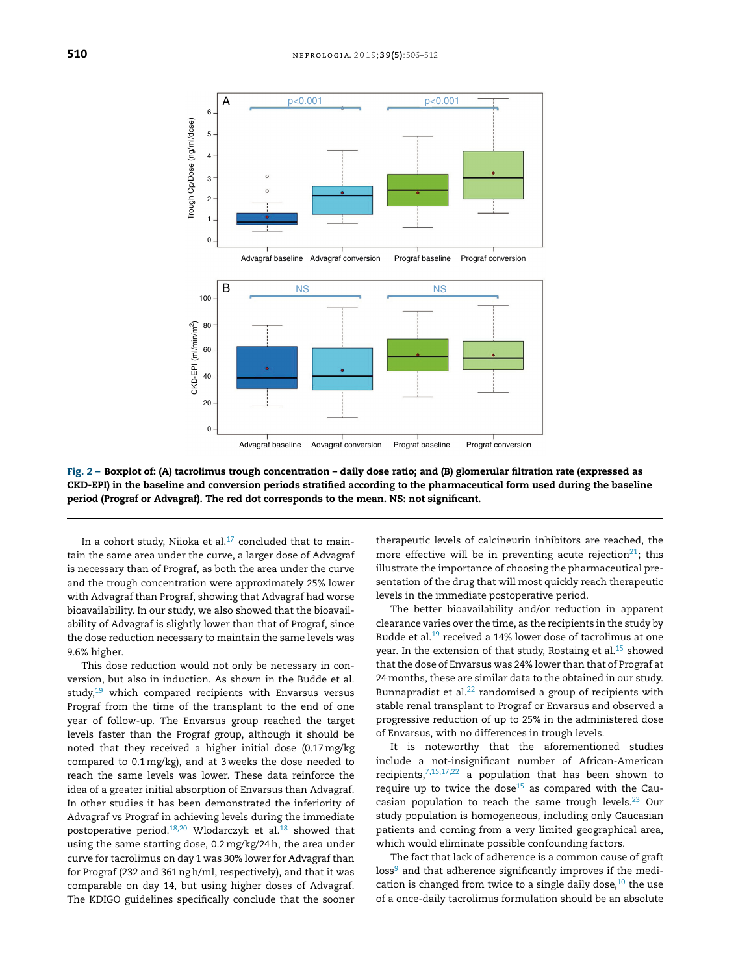

Fig. 2 – Boxplot of: (A) tacrolimus trough concentration – daily dose ratio; and (B) glomerular filtration rate (expressed as CKD-EPI) in the baseline and conversion periods stratified according to the pharmaceutical form used during the baseline period (Prograf or Advagraf). The red dot corresponds to the mean. NS: not significant.

In a cohort study, Niioka et al. $17$  concluded that to maintain the same area under the curve, a larger dose of Advagraf is necessary than of Prograf, as both the area under the curve and the trough concentration were approximately 25% lower with Advagraf than Prograf, showing that Advagraf had worse bioavailability. In our study, we also showed that the bioavailability of Advagraf is slightly lower than that of Prograf, since the dose reduction necessary to maintain the same levels was 9.6% higher.

This dose reduction would not only be necessary in conversion, but also in induction. As shown in the Budde et al. study, $19$  which compared recipients with Envarsus versus Prograf from the time of the transplant to the end of one year of follow-up. The Envarsus group reached the target levels faster than the Prograf group, although it should be noted that they received a higher initial dose (0.17mg/kg compared to 0.1mg/kg), and at 3 weeks the dose needed to reach the same levels was lower. These data reinforce the idea of a greater initial absorption of Envarsus than Advagraf. In other studies it has been demonstrated the inferiority of Advagraf vs Prograf in achieving levels during the immediate postoperative period.<sup>[18,20](#page-5-0)</sup> Wlodarczyk et al.<sup>[18](#page-5-0)</sup> showed that using the same starting dose, 0.2mg/kg/24h, the area under curve for tacrolimus on day 1 was 30% lower for Advagraf than for Prograf (232 and 361 ngh/ml, respectively), and that it was comparable on day 14, but using higher doses of Advagraf. The KDIGO guidelines specifically conclude that the sooner therapeutic levels of calcineurin inhibitors are reached, the more effective will be in preventing acute rejection<sup>[21](#page-5-0)</sup>; this illustrate the importance of choosing the pharmaceutical presentation of the drug that will most quickly reach therapeutic levels in the immediate postoperative period.

The better bioavailability and/or reduction in apparent clearance varies over the time, as the recipients in the study by Budde et al.[19](#page-5-0) received a 14% lower dose of tacrolimus at one year. In the extension of that study, Rostaing et al. $15$  showed that the dose of Envarsus was 24% lower than that of Prograf at 24months, these are similar data to the obtained in our study. Bunnapradist et al.<sup>[22](#page-6-0)</sup> randomised a group of recipients with stable renal transplant to Prograf or Envarsus and observed a progressive reduction of up to 25% in the administered dose of Envarsus, with no differences in trough levels.

It is noteworthy that the aforementioned studies include a not-insignificant number of African-American recipients, $7,15,17,22$  a population that has been shown to require up to twice the dose<sup>[15](#page-5-0)</sup> as compared with the Caucasian population to reach the same trough levels. $^{23}$  $^{23}$  $^{23}$  Our study population is homogeneous, including only Caucasian patients and coming from a very limited geographical area, which would eliminate possible confounding factors.

The fact that lack of adherence is a common cause of graft loss<sup>[9](#page-5-0)</sup> and that adherence significantly improves if the medication is changed from twice to a single daily dose, $10$  the use of a once-daily tacrolimus formulation should be an absolute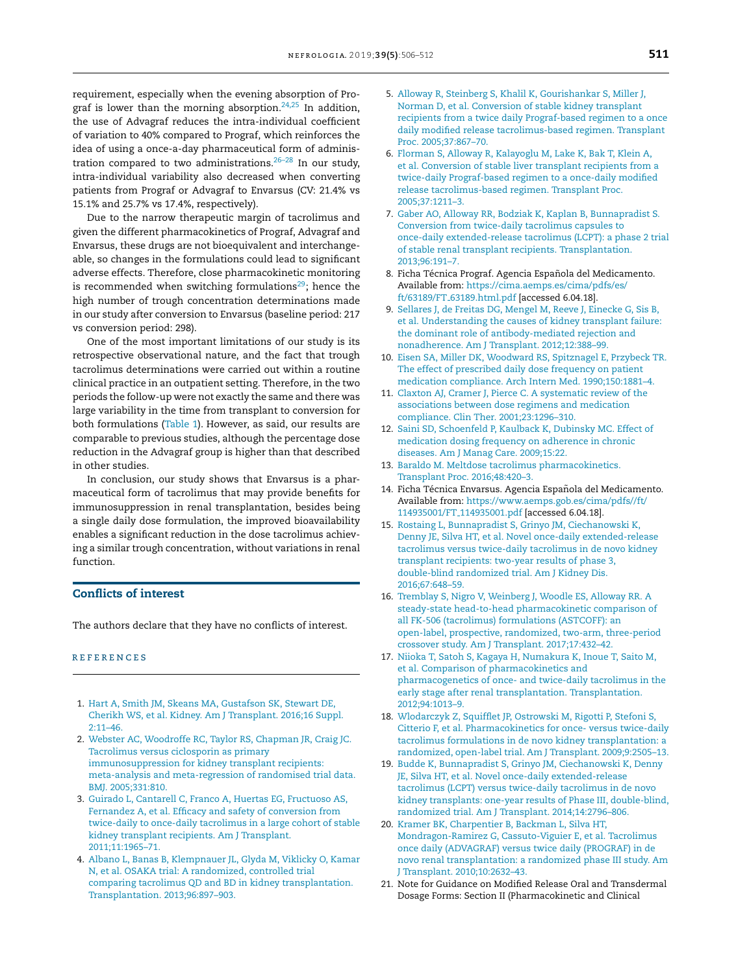<span id="page-5-0"></span>requirement, especially when the evening absorption of Pro-graf is lower than the morning absorption.<sup>[24,25](#page-6-0)</sup> In addition, the use of Advagraf reduces the intra-individual coefficient of variation to 40% compared to Prograf, which reinforces the idea of using a once-a-day pharmaceutical form of administration compared to two administrations.  $26-28$  In our study, intra-individual variability also decreased when converting patients from Prograf or Advagraf to Envarsus (CV: 21.4% vs 15.1% and 25.7% vs 17.4%, respectively).

Due to the narrow therapeutic margin of tacrolimus and given the different pharmacokinetics of Prograf, Advagraf and Envarsus, these drugs are not bioequivalent and interchangeable, so changes in the formulations could lead to significant adverse effects. Therefore, close pharmacokinetic monitoring is recommended when switching formulations<sup>[29](#page-6-0)</sup>; hence the high number of trough concentration determinations made in our study after conversion to Envarsus (baseline period: 217 vs conversion period: 298).

One of the most important limitations of our study is its retrospective observational nature, and the fact that trough tacrolimus determinations were carried out within a routine clinical practice in an outpatient setting. Therefore, in the two periods the follow-up were not exactly the same and there was large variability in the time from transplant to conversion for both formulations [\(Table](#page-2-0) 1). However, as said, our results are comparable to previous studies, although the percentage dose reduction in the Advagraf group is higher than that described in other studies.

In conclusion, our study shows that Envarsus is a pharmaceutical form of tacrolimus that may provide benefits for immunosuppression in renal transplantation, besides being a single daily dose formulation, the improved bioavailability enables a significant reduction in the dose tacrolimus achieving a similar trough concentration, without variations in renal function.

### Conflicts of interest

The authors declare that they have no conflicts of interest.

#### r e f e r enc e s

- 1. [Hart](http://refhub.elsevier.com/S2013-2514(19)30139-7/sbref0150) [A,](http://refhub.elsevier.com/S2013-2514(19)30139-7/sbref0150) [Smith](http://refhub.elsevier.com/S2013-2514(19)30139-7/sbref0150) [JM,](http://refhub.elsevier.com/S2013-2514(19)30139-7/sbref0150) [Skeans](http://refhub.elsevier.com/S2013-2514(19)30139-7/sbref0150) [MA,](http://refhub.elsevier.com/S2013-2514(19)30139-7/sbref0150) [Gustafson](http://refhub.elsevier.com/S2013-2514(19)30139-7/sbref0150) [SK,](http://refhub.elsevier.com/S2013-2514(19)30139-7/sbref0150) [Stewart](http://refhub.elsevier.com/S2013-2514(19)30139-7/sbref0150) [DE,](http://refhub.elsevier.com/S2013-2514(19)30139-7/sbref0150) [Cherikh](http://refhub.elsevier.com/S2013-2514(19)30139-7/sbref0150) [WS,](http://refhub.elsevier.com/S2013-2514(19)30139-7/sbref0150) [et](http://refhub.elsevier.com/S2013-2514(19)30139-7/sbref0150) [al.](http://refhub.elsevier.com/S2013-2514(19)30139-7/sbref0150) [Kidney.](http://refhub.elsevier.com/S2013-2514(19)30139-7/sbref0150) [Am](http://refhub.elsevier.com/S2013-2514(19)30139-7/sbref0150) [J](http://refhub.elsevier.com/S2013-2514(19)30139-7/sbref0150) [Transplant.](http://refhub.elsevier.com/S2013-2514(19)30139-7/sbref0150) [2016;16](http://refhub.elsevier.com/S2013-2514(19)30139-7/sbref0150) [Suppl.](http://refhub.elsevier.com/S2013-2514(19)30139-7/sbref0150) [2:11](http://refhub.elsevier.com/S2013-2514(19)30139-7/sbref0150)–[46.](http://refhub.elsevier.com/S2013-2514(19)30139-7/sbref0150)
- 2. [Webster](http://refhub.elsevier.com/S2013-2514(19)30139-7/sbref0155) [AC,](http://refhub.elsevier.com/S2013-2514(19)30139-7/sbref0155) [Woodroffe](http://refhub.elsevier.com/S2013-2514(19)30139-7/sbref0155) [RC,](http://refhub.elsevier.com/S2013-2514(19)30139-7/sbref0155) [Taylor](http://refhub.elsevier.com/S2013-2514(19)30139-7/sbref0155) [RS,](http://refhub.elsevier.com/S2013-2514(19)30139-7/sbref0155) [Chapman](http://refhub.elsevier.com/S2013-2514(19)30139-7/sbref0155) [JR,](http://refhub.elsevier.com/S2013-2514(19)30139-7/sbref0155) [Craig](http://refhub.elsevier.com/S2013-2514(19)30139-7/sbref0155) [JC.](http://refhub.elsevier.com/S2013-2514(19)30139-7/sbref0155) [Tacrolimus](http://refhub.elsevier.com/S2013-2514(19)30139-7/sbref0155) [versus](http://refhub.elsevier.com/S2013-2514(19)30139-7/sbref0155) [ciclosporin](http://refhub.elsevier.com/S2013-2514(19)30139-7/sbref0155) [as](http://refhub.elsevier.com/S2013-2514(19)30139-7/sbref0155) [primary](http://refhub.elsevier.com/S2013-2514(19)30139-7/sbref0155) [immunosuppression](http://refhub.elsevier.com/S2013-2514(19)30139-7/sbref0155) [for](http://refhub.elsevier.com/S2013-2514(19)30139-7/sbref0155) [kidney](http://refhub.elsevier.com/S2013-2514(19)30139-7/sbref0155) [transplant](http://refhub.elsevier.com/S2013-2514(19)30139-7/sbref0155) [recipients:](http://refhub.elsevier.com/S2013-2514(19)30139-7/sbref0155) [meta-analysis](http://refhub.elsevier.com/S2013-2514(19)30139-7/sbref0155) [and](http://refhub.elsevier.com/S2013-2514(19)30139-7/sbref0155) [meta-regression](http://refhub.elsevier.com/S2013-2514(19)30139-7/sbref0155) [of](http://refhub.elsevier.com/S2013-2514(19)30139-7/sbref0155) [randomised](http://refhub.elsevier.com/S2013-2514(19)30139-7/sbref0155) [trial](http://refhub.elsevier.com/S2013-2514(19)30139-7/sbref0155) [data.](http://refhub.elsevier.com/S2013-2514(19)30139-7/sbref0155) [BMJ.](http://refhub.elsevier.com/S2013-2514(19)30139-7/sbref0155) [2005;331:810.](http://refhub.elsevier.com/S2013-2514(19)30139-7/sbref0155)
- 3. [Guirado](http://refhub.elsevier.com/S2013-2514(19)30139-7/sbref0160) [L,](http://refhub.elsevier.com/S2013-2514(19)30139-7/sbref0160) [Cantarell](http://refhub.elsevier.com/S2013-2514(19)30139-7/sbref0160) [C,](http://refhub.elsevier.com/S2013-2514(19)30139-7/sbref0160) [Franco](http://refhub.elsevier.com/S2013-2514(19)30139-7/sbref0160) [A,](http://refhub.elsevier.com/S2013-2514(19)30139-7/sbref0160) [Huertas](http://refhub.elsevier.com/S2013-2514(19)30139-7/sbref0160) [EG,](http://refhub.elsevier.com/S2013-2514(19)30139-7/sbref0160) [Fructuoso](http://refhub.elsevier.com/S2013-2514(19)30139-7/sbref0160) [AS,](http://refhub.elsevier.com/S2013-2514(19)30139-7/sbref0160) [Fernandez](http://refhub.elsevier.com/S2013-2514(19)30139-7/sbref0160) [A,](http://refhub.elsevier.com/S2013-2514(19)30139-7/sbref0160) [et](http://refhub.elsevier.com/S2013-2514(19)30139-7/sbref0160) [al.](http://refhub.elsevier.com/S2013-2514(19)30139-7/sbref0160) [Efficacy](http://refhub.elsevier.com/S2013-2514(19)30139-7/sbref0160) [and](http://refhub.elsevier.com/S2013-2514(19)30139-7/sbref0160) [safety](http://refhub.elsevier.com/S2013-2514(19)30139-7/sbref0160) [of](http://refhub.elsevier.com/S2013-2514(19)30139-7/sbref0160) [conversion](http://refhub.elsevier.com/S2013-2514(19)30139-7/sbref0160) [from](http://refhub.elsevier.com/S2013-2514(19)30139-7/sbref0160) [twice-daily](http://refhub.elsevier.com/S2013-2514(19)30139-7/sbref0160) [to](http://refhub.elsevier.com/S2013-2514(19)30139-7/sbref0160) [once-daily](http://refhub.elsevier.com/S2013-2514(19)30139-7/sbref0160) [tacrolimus](http://refhub.elsevier.com/S2013-2514(19)30139-7/sbref0160) [in](http://refhub.elsevier.com/S2013-2514(19)30139-7/sbref0160) [a](http://refhub.elsevier.com/S2013-2514(19)30139-7/sbref0160) [large](http://refhub.elsevier.com/S2013-2514(19)30139-7/sbref0160) [cohort](http://refhub.elsevier.com/S2013-2514(19)30139-7/sbref0160) [of](http://refhub.elsevier.com/S2013-2514(19)30139-7/sbref0160) [stable](http://refhub.elsevier.com/S2013-2514(19)30139-7/sbref0160) [kidney](http://refhub.elsevier.com/S2013-2514(19)30139-7/sbref0160) [transplant](http://refhub.elsevier.com/S2013-2514(19)30139-7/sbref0160) [recipients.](http://refhub.elsevier.com/S2013-2514(19)30139-7/sbref0160) [Am](http://refhub.elsevier.com/S2013-2514(19)30139-7/sbref0160) [J](http://refhub.elsevier.com/S2013-2514(19)30139-7/sbref0160) [Transplant.](http://refhub.elsevier.com/S2013-2514(19)30139-7/sbref0160) [2011;11:1965–71.](http://refhub.elsevier.com/S2013-2514(19)30139-7/sbref0160)
- 4. [Albano](http://refhub.elsevier.com/S2013-2514(19)30139-7/sbref0165) [L,](http://refhub.elsevier.com/S2013-2514(19)30139-7/sbref0165) [Banas](http://refhub.elsevier.com/S2013-2514(19)30139-7/sbref0165) [B,](http://refhub.elsevier.com/S2013-2514(19)30139-7/sbref0165) [Klempnauer](http://refhub.elsevier.com/S2013-2514(19)30139-7/sbref0165) [JL,](http://refhub.elsevier.com/S2013-2514(19)30139-7/sbref0165) [Glyda](http://refhub.elsevier.com/S2013-2514(19)30139-7/sbref0165) [M,](http://refhub.elsevier.com/S2013-2514(19)30139-7/sbref0165) [Viklicky](http://refhub.elsevier.com/S2013-2514(19)30139-7/sbref0165) [O,](http://refhub.elsevier.com/S2013-2514(19)30139-7/sbref0165) [Kamar](http://refhub.elsevier.com/S2013-2514(19)30139-7/sbref0165) [N,](http://refhub.elsevier.com/S2013-2514(19)30139-7/sbref0165) [et](http://refhub.elsevier.com/S2013-2514(19)30139-7/sbref0165) [al.](http://refhub.elsevier.com/S2013-2514(19)30139-7/sbref0165) [OSAKA](http://refhub.elsevier.com/S2013-2514(19)30139-7/sbref0165) [trial:](http://refhub.elsevier.com/S2013-2514(19)30139-7/sbref0165) [A](http://refhub.elsevier.com/S2013-2514(19)30139-7/sbref0165) [randomized,](http://refhub.elsevier.com/S2013-2514(19)30139-7/sbref0165) [controlled](http://refhub.elsevier.com/S2013-2514(19)30139-7/sbref0165) [trial](http://refhub.elsevier.com/S2013-2514(19)30139-7/sbref0165) [comparing](http://refhub.elsevier.com/S2013-2514(19)30139-7/sbref0165) [tacrolimus](http://refhub.elsevier.com/S2013-2514(19)30139-7/sbref0165) [QD](http://refhub.elsevier.com/S2013-2514(19)30139-7/sbref0165) [and](http://refhub.elsevier.com/S2013-2514(19)30139-7/sbref0165) [BD](http://refhub.elsevier.com/S2013-2514(19)30139-7/sbref0165) [in](http://refhub.elsevier.com/S2013-2514(19)30139-7/sbref0165) [kidney](http://refhub.elsevier.com/S2013-2514(19)30139-7/sbref0165) [transplantation.](http://refhub.elsevier.com/S2013-2514(19)30139-7/sbref0165) [Transplantation.](http://refhub.elsevier.com/S2013-2514(19)30139-7/sbref0165) [2013;96:897–903.](http://refhub.elsevier.com/S2013-2514(19)30139-7/sbref0165)
- 5. [Alloway](http://refhub.elsevier.com/S2013-2514(19)30139-7/sbref0170) [R,](http://refhub.elsevier.com/S2013-2514(19)30139-7/sbref0170) [Steinberg](http://refhub.elsevier.com/S2013-2514(19)30139-7/sbref0170) [S,](http://refhub.elsevier.com/S2013-2514(19)30139-7/sbref0170) [Khalil](http://refhub.elsevier.com/S2013-2514(19)30139-7/sbref0170) [K,](http://refhub.elsevier.com/S2013-2514(19)30139-7/sbref0170) [Gourishankar](http://refhub.elsevier.com/S2013-2514(19)30139-7/sbref0170) [S,](http://refhub.elsevier.com/S2013-2514(19)30139-7/sbref0170) [Miller](http://refhub.elsevier.com/S2013-2514(19)30139-7/sbref0170) [J,](http://refhub.elsevier.com/S2013-2514(19)30139-7/sbref0170) [Norman](http://refhub.elsevier.com/S2013-2514(19)30139-7/sbref0170) [D,](http://refhub.elsevier.com/S2013-2514(19)30139-7/sbref0170) [et](http://refhub.elsevier.com/S2013-2514(19)30139-7/sbref0170) [al.](http://refhub.elsevier.com/S2013-2514(19)30139-7/sbref0170) [Conversion](http://refhub.elsevier.com/S2013-2514(19)30139-7/sbref0170) [of](http://refhub.elsevier.com/S2013-2514(19)30139-7/sbref0170) [stable](http://refhub.elsevier.com/S2013-2514(19)30139-7/sbref0170) [kidney](http://refhub.elsevier.com/S2013-2514(19)30139-7/sbref0170) [transplant](http://refhub.elsevier.com/S2013-2514(19)30139-7/sbref0170) [recipients](http://refhub.elsevier.com/S2013-2514(19)30139-7/sbref0170) [from](http://refhub.elsevier.com/S2013-2514(19)30139-7/sbref0170) [a](http://refhub.elsevier.com/S2013-2514(19)30139-7/sbref0170) [twice](http://refhub.elsevier.com/S2013-2514(19)30139-7/sbref0170) [daily](http://refhub.elsevier.com/S2013-2514(19)30139-7/sbref0170) [Prograf-based](http://refhub.elsevier.com/S2013-2514(19)30139-7/sbref0170) [regimen](http://refhub.elsevier.com/S2013-2514(19)30139-7/sbref0170) [to](http://refhub.elsevier.com/S2013-2514(19)30139-7/sbref0170) [a](http://refhub.elsevier.com/S2013-2514(19)30139-7/sbref0170) [once](http://refhub.elsevier.com/S2013-2514(19)30139-7/sbref0170) [daily](http://refhub.elsevier.com/S2013-2514(19)30139-7/sbref0170) [modified](http://refhub.elsevier.com/S2013-2514(19)30139-7/sbref0170) [release](http://refhub.elsevier.com/S2013-2514(19)30139-7/sbref0170) [tacrolimus-based](http://refhub.elsevier.com/S2013-2514(19)30139-7/sbref0170) [regimen.](http://refhub.elsevier.com/S2013-2514(19)30139-7/sbref0170) [Transplant](http://refhub.elsevier.com/S2013-2514(19)30139-7/sbref0170) [Proc.](http://refhub.elsevier.com/S2013-2514(19)30139-7/sbref0170) [2005;37:867–70.](http://refhub.elsevier.com/S2013-2514(19)30139-7/sbref0170)
- 6. [Florman](http://refhub.elsevier.com/S2013-2514(19)30139-7/sbref0175) [S,](http://refhub.elsevier.com/S2013-2514(19)30139-7/sbref0175) [Alloway](http://refhub.elsevier.com/S2013-2514(19)30139-7/sbref0175) [R,](http://refhub.elsevier.com/S2013-2514(19)30139-7/sbref0175) [Kalayoglu](http://refhub.elsevier.com/S2013-2514(19)30139-7/sbref0175) [M,](http://refhub.elsevier.com/S2013-2514(19)30139-7/sbref0175) [Lake](http://refhub.elsevier.com/S2013-2514(19)30139-7/sbref0175) [K,](http://refhub.elsevier.com/S2013-2514(19)30139-7/sbref0175) [Bak](http://refhub.elsevier.com/S2013-2514(19)30139-7/sbref0175) [T,](http://refhub.elsevier.com/S2013-2514(19)30139-7/sbref0175) [Klein](http://refhub.elsevier.com/S2013-2514(19)30139-7/sbref0175) [A,](http://refhub.elsevier.com/S2013-2514(19)30139-7/sbref0175) [et](http://refhub.elsevier.com/S2013-2514(19)30139-7/sbref0175) [al.](http://refhub.elsevier.com/S2013-2514(19)30139-7/sbref0175) [Conversion](http://refhub.elsevier.com/S2013-2514(19)30139-7/sbref0175) [of](http://refhub.elsevier.com/S2013-2514(19)30139-7/sbref0175) [stable](http://refhub.elsevier.com/S2013-2514(19)30139-7/sbref0175) [liver](http://refhub.elsevier.com/S2013-2514(19)30139-7/sbref0175) [transplant](http://refhub.elsevier.com/S2013-2514(19)30139-7/sbref0175) [recipients](http://refhub.elsevier.com/S2013-2514(19)30139-7/sbref0175) [from](http://refhub.elsevier.com/S2013-2514(19)30139-7/sbref0175) [a](http://refhub.elsevier.com/S2013-2514(19)30139-7/sbref0175) [twice-daily](http://refhub.elsevier.com/S2013-2514(19)30139-7/sbref0175) [Prograf-based](http://refhub.elsevier.com/S2013-2514(19)30139-7/sbref0175) [regimen](http://refhub.elsevier.com/S2013-2514(19)30139-7/sbref0175) [to](http://refhub.elsevier.com/S2013-2514(19)30139-7/sbref0175) [a](http://refhub.elsevier.com/S2013-2514(19)30139-7/sbref0175) [once-daily](http://refhub.elsevier.com/S2013-2514(19)30139-7/sbref0175) [modified](http://refhub.elsevier.com/S2013-2514(19)30139-7/sbref0175) [release](http://refhub.elsevier.com/S2013-2514(19)30139-7/sbref0175) [tacrolimus-based](http://refhub.elsevier.com/S2013-2514(19)30139-7/sbref0175) [regimen.](http://refhub.elsevier.com/S2013-2514(19)30139-7/sbref0175) [Transplant](http://refhub.elsevier.com/S2013-2514(19)30139-7/sbref0175) [Proc.](http://refhub.elsevier.com/S2013-2514(19)30139-7/sbref0175) [2005;37:1211–3.](http://refhub.elsevier.com/S2013-2514(19)30139-7/sbref0175)
- 7. [Gaber](http://refhub.elsevier.com/S2013-2514(19)30139-7/sbref0180) [AO,](http://refhub.elsevier.com/S2013-2514(19)30139-7/sbref0180) [Alloway](http://refhub.elsevier.com/S2013-2514(19)30139-7/sbref0180) [RR,](http://refhub.elsevier.com/S2013-2514(19)30139-7/sbref0180) [Bodziak](http://refhub.elsevier.com/S2013-2514(19)30139-7/sbref0180) [K,](http://refhub.elsevier.com/S2013-2514(19)30139-7/sbref0180) [Kaplan](http://refhub.elsevier.com/S2013-2514(19)30139-7/sbref0180) [B,](http://refhub.elsevier.com/S2013-2514(19)30139-7/sbref0180) [Bunnapradist](http://refhub.elsevier.com/S2013-2514(19)30139-7/sbref0180) [S](http://refhub.elsevier.com/S2013-2514(19)30139-7/sbref0180). [Conversion](http://refhub.elsevier.com/S2013-2514(19)30139-7/sbref0180) [from](http://refhub.elsevier.com/S2013-2514(19)30139-7/sbref0180) [twice-daily](http://refhub.elsevier.com/S2013-2514(19)30139-7/sbref0180) [tacrolimus](http://refhub.elsevier.com/S2013-2514(19)30139-7/sbref0180) [capsules](http://refhub.elsevier.com/S2013-2514(19)30139-7/sbref0180) [to](http://refhub.elsevier.com/S2013-2514(19)30139-7/sbref0180) [once-daily](http://refhub.elsevier.com/S2013-2514(19)30139-7/sbref0180) [extended-release](http://refhub.elsevier.com/S2013-2514(19)30139-7/sbref0180) [tacrolimus](http://refhub.elsevier.com/S2013-2514(19)30139-7/sbref0180) [\(LCPT\):](http://refhub.elsevier.com/S2013-2514(19)30139-7/sbref0180) [a](http://refhub.elsevier.com/S2013-2514(19)30139-7/sbref0180) [phase](http://refhub.elsevier.com/S2013-2514(19)30139-7/sbref0180) [2](http://refhub.elsevier.com/S2013-2514(19)30139-7/sbref0180) [trial](http://refhub.elsevier.com/S2013-2514(19)30139-7/sbref0180) [of](http://refhub.elsevier.com/S2013-2514(19)30139-7/sbref0180) [stable](http://refhub.elsevier.com/S2013-2514(19)30139-7/sbref0180) [renal](http://refhub.elsevier.com/S2013-2514(19)30139-7/sbref0180) [transplant](http://refhub.elsevier.com/S2013-2514(19)30139-7/sbref0180) [recipients.](http://refhub.elsevier.com/S2013-2514(19)30139-7/sbref0180) [Transplantation.](http://refhub.elsevier.com/S2013-2514(19)30139-7/sbref0180) [2013;96:191](http://refhub.elsevier.com/S2013-2514(19)30139-7/sbref0180)–[7.](http://refhub.elsevier.com/S2013-2514(19)30139-7/sbref0180)
- 8. Ficha Técnica Prograf. Agencia Española del Medicamento. Available from: [https://cima.aemps.es/cima/pdfs/es/](https://cima.aemps.es/cima/pdfs/es/ft/63189/FT_63189.html.pdf) ft/63189/FT [63189.html.pdf](https://cima.aemps.es/cima/pdfs/es/ft/63189/FT_63189.html.pdf) [accessed 6.04.18].
- 9. [Sellares](http://refhub.elsevier.com/S2013-2514(19)30139-7/sbref0190) [J,](http://refhub.elsevier.com/S2013-2514(19)30139-7/sbref0190) [de](http://refhub.elsevier.com/S2013-2514(19)30139-7/sbref0190) [Freitas](http://refhub.elsevier.com/S2013-2514(19)30139-7/sbref0190) [DG,](http://refhub.elsevier.com/S2013-2514(19)30139-7/sbref0190) [Mengel](http://refhub.elsevier.com/S2013-2514(19)30139-7/sbref0190) [M,](http://refhub.elsevier.com/S2013-2514(19)30139-7/sbref0190) [Reeve](http://refhub.elsevier.com/S2013-2514(19)30139-7/sbref0190) [J,](http://refhub.elsevier.com/S2013-2514(19)30139-7/sbref0190) [Einecke](http://refhub.elsevier.com/S2013-2514(19)30139-7/sbref0190) [G,](http://refhub.elsevier.com/S2013-2514(19)30139-7/sbref0190) [Sis](http://refhub.elsevier.com/S2013-2514(19)30139-7/sbref0190) [B,](http://refhub.elsevier.com/S2013-2514(19)30139-7/sbref0190) [et](http://refhub.elsevier.com/S2013-2514(19)30139-7/sbref0190) [al.](http://refhub.elsevier.com/S2013-2514(19)30139-7/sbref0190) [Understanding](http://refhub.elsevier.com/S2013-2514(19)30139-7/sbref0190) [the](http://refhub.elsevier.com/S2013-2514(19)30139-7/sbref0190) [causes](http://refhub.elsevier.com/S2013-2514(19)30139-7/sbref0190) [of](http://refhub.elsevier.com/S2013-2514(19)30139-7/sbref0190) [kidney](http://refhub.elsevier.com/S2013-2514(19)30139-7/sbref0190) [transplant](http://refhub.elsevier.com/S2013-2514(19)30139-7/sbref0190) [failure:](http://refhub.elsevier.com/S2013-2514(19)30139-7/sbref0190) [the](http://refhub.elsevier.com/S2013-2514(19)30139-7/sbref0190) [dominant](http://refhub.elsevier.com/S2013-2514(19)30139-7/sbref0190) [role](http://refhub.elsevier.com/S2013-2514(19)30139-7/sbref0190) [of](http://refhub.elsevier.com/S2013-2514(19)30139-7/sbref0190) [antibody-mediated](http://refhub.elsevier.com/S2013-2514(19)30139-7/sbref0190) [rejection](http://refhub.elsevier.com/S2013-2514(19)30139-7/sbref0190) [and](http://refhub.elsevier.com/S2013-2514(19)30139-7/sbref0190) [nonadherence.](http://refhub.elsevier.com/S2013-2514(19)30139-7/sbref0190) [Am](http://refhub.elsevier.com/S2013-2514(19)30139-7/sbref0190) [J](http://refhub.elsevier.com/S2013-2514(19)30139-7/sbref0190) [Transplant.](http://refhub.elsevier.com/S2013-2514(19)30139-7/sbref0190) [2012;12:388–99.](http://refhub.elsevier.com/S2013-2514(19)30139-7/sbref0190)
- 10. [Eisen](http://refhub.elsevier.com/S2013-2514(19)30139-7/sbref0195) [SA,](http://refhub.elsevier.com/S2013-2514(19)30139-7/sbref0195) [Miller](http://refhub.elsevier.com/S2013-2514(19)30139-7/sbref0195) [DK,](http://refhub.elsevier.com/S2013-2514(19)30139-7/sbref0195) [Woodward](http://refhub.elsevier.com/S2013-2514(19)30139-7/sbref0195) [RS,](http://refhub.elsevier.com/S2013-2514(19)30139-7/sbref0195) [Spitznagel](http://refhub.elsevier.com/S2013-2514(19)30139-7/sbref0195) [E,](http://refhub.elsevier.com/S2013-2514(19)30139-7/sbref0195) [Przybeck](http://refhub.elsevier.com/S2013-2514(19)30139-7/sbref0195) [TR.](http://refhub.elsevier.com/S2013-2514(19)30139-7/sbref0195) [The](http://refhub.elsevier.com/S2013-2514(19)30139-7/sbref0195) [effect](http://refhub.elsevier.com/S2013-2514(19)30139-7/sbref0195) [of](http://refhub.elsevier.com/S2013-2514(19)30139-7/sbref0195) [prescribed](http://refhub.elsevier.com/S2013-2514(19)30139-7/sbref0195) [daily](http://refhub.elsevier.com/S2013-2514(19)30139-7/sbref0195) [dose](http://refhub.elsevier.com/S2013-2514(19)30139-7/sbref0195) [frequency](http://refhub.elsevier.com/S2013-2514(19)30139-7/sbref0195) [on](http://refhub.elsevier.com/S2013-2514(19)30139-7/sbref0195) [patient](http://refhub.elsevier.com/S2013-2514(19)30139-7/sbref0195) [medication](http://refhub.elsevier.com/S2013-2514(19)30139-7/sbref0195) [compliance.](http://refhub.elsevier.com/S2013-2514(19)30139-7/sbref0195) [Arch](http://refhub.elsevier.com/S2013-2514(19)30139-7/sbref0195) [Intern](http://refhub.elsevier.com/S2013-2514(19)30139-7/sbref0195) [Med.](http://refhub.elsevier.com/S2013-2514(19)30139-7/sbref0195) [1990;150:1881–4.](http://refhub.elsevier.com/S2013-2514(19)30139-7/sbref0195)
- 11. [Claxton](http://refhub.elsevier.com/S2013-2514(19)30139-7/sbref0200) [AJ,](http://refhub.elsevier.com/S2013-2514(19)30139-7/sbref0200) [Cramer](http://refhub.elsevier.com/S2013-2514(19)30139-7/sbref0200) [J,](http://refhub.elsevier.com/S2013-2514(19)30139-7/sbref0200) [Pierce](http://refhub.elsevier.com/S2013-2514(19)30139-7/sbref0200) [C.](http://refhub.elsevier.com/S2013-2514(19)30139-7/sbref0200) [A](http://refhub.elsevier.com/S2013-2514(19)30139-7/sbref0200) [systematic](http://refhub.elsevier.com/S2013-2514(19)30139-7/sbref0200) [review](http://refhub.elsevier.com/S2013-2514(19)30139-7/sbref0200) [of](http://refhub.elsevier.com/S2013-2514(19)30139-7/sbref0200) [the](http://refhub.elsevier.com/S2013-2514(19)30139-7/sbref0200) [associations](http://refhub.elsevier.com/S2013-2514(19)30139-7/sbref0200) [between](http://refhub.elsevier.com/S2013-2514(19)30139-7/sbref0200) [dose](http://refhub.elsevier.com/S2013-2514(19)30139-7/sbref0200) [regimens](http://refhub.elsevier.com/S2013-2514(19)30139-7/sbref0200) [and](http://refhub.elsevier.com/S2013-2514(19)30139-7/sbref0200) [medication](http://refhub.elsevier.com/S2013-2514(19)30139-7/sbref0200) [compliance.](http://refhub.elsevier.com/S2013-2514(19)30139-7/sbref0200) [Clin](http://refhub.elsevier.com/S2013-2514(19)30139-7/sbref0200) [Ther.](http://refhub.elsevier.com/S2013-2514(19)30139-7/sbref0200) [2001;23:1296–310.](http://refhub.elsevier.com/S2013-2514(19)30139-7/sbref0200)
- 12. [Saini](http://refhub.elsevier.com/S2013-2514(19)30139-7/sbref0205) [SD,](http://refhub.elsevier.com/S2013-2514(19)30139-7/sbref0205) [Schoenfeld](http://refhub.elsevier.com/S2013-2514(19)30139-7/sbref0205) [P,](http://refhub.elsevier.com/S2013-2514(19)30139-7/sbref0205) [Kaulback](http://refhub.elsevier.com/S2013-2514(19)30139-7/sbref0205) [K,](http://refhub.elsevier.com/S2013-2514(19)30139-7/sbref0205) [Dubinsky](http://refhub.elsevier.com/S2013-2514(19)30139-7/sbref0205) [MC.](http://refhub.elsevier.com/S2013-2514(19)30139-7/sbref0205) [Effect](http://refhub.elsevier.com/S2013-2514(19)30139-7/sbref0205) [of](http://refhub.elsevier.com/S2013-2514(19)30139-7/sbref0205) [medication](http://refhub.elsevier.com/S2013-2514(19)30139-7/sbref0205) [dosing](http://refhub.elsevier.com/S2013-2514(19)30139-7/sbref0205) [frequency](http://refhub.elsevier.com/S2013-2514(19)30139-7/sbref0205) [on](http://refhub.elsevier.com/S2013-2514(19)30139-7/sbref0205) [adherence](http://refhub.elsevier.com/S2013-2514(19)30139-7/sbref0205) [in](http://refhub.elsevier.com/S2013-2514(19)30139-7/sbref0205) [chronic](http://refhub.elsevier.com/S2013-2514(19)30139-7/sbref0205) [diseases.](http://refhub.elsevier.com/S2013-2514(19)30139-7/sbref0205) [Am](http://refhub.elsevier.com/S2013-2514(19)30139-7/sbref0205) [J](http://refhub.elsevier.com/S2013-2514(19)30139-7/sbref0205) [Manag](http://refhub.elsevier.com/S2013-2514(19)30139-7/sbref0205) [Care.](http://refhub.elsevier.com/S2013-2514(19)30139-7/sbref0205) [2009;15:22.](http://refhub.elsevier.com/S2013-2514(19)30139-7/sbref0205)
- 13. [Baraldo](http://refhub.elsevier.com/S2013-2514(19)30139-7/sbref0210) [M.](http://refhub.elsevier.com/S2013-2514(19)30139-7/sbref0210) [Meltdose](http://refhub.elsevier.com/S2013-2514(19)30139-7/sbref0210) [tacrolimus](http://refhub.elsevier.com/S2013-2514(19)30139-7/sbref0210) [pharmacokinetics.](http://refhub.elsevier.com/S2013-2514(19)30139-7/sbref0210) [Transplant](http://refhub.elsevier.com/S2013-2514(19)30139-7/sbref0210) [Proc.](http://refhub.elsevier.com/S2013-2514(19)30139-7/sbref0210) [2016;48:420–3.](http://refhub.elsevier.com/S2013-2514(19)30139-7/sbref0210)
- 14. Ficha Técnica Envarsus. Agencia Española del Medicamento. Available from: [https://www.aemps.gob.es/cima/pdfs//ft/](https://www.aemps.gob.es/cima/pdfs//ft/114935001/FT_114935001.pdf) 114935001/FT [114935001.pdf](https://www.aemps.gob.es/cima/pdfs//ft/114935001/FT_114935001.pdf) [accessed 6.04.18].
- 15. [Rostaing](http://refhub.elsevier.com/S2013-2514(19)30139-7/sbref0220) [L,](http://refhub.elsevier.com/S2013-2514(19)30139-7/sbref0220) [Bunnapradist](http://refhub.elsevier.com/S2013-2514(19)30139-7/sbref0220) [S,](http://refhub.elsevier.com/S2013-2514(19)30139-7/sbref0220) [Grinyo](http://refhub.elsevier.com/S2013-2514(19)30139-7/sbref0220) [JM,](http://refhub.elsevier.com/S2013-2514(19)30139-7/sbref0220) [Ciechanowski](http://refhub.elsevier.com/S2013-2514(19)30139-7/sbref0220) [K,](http://refhub.elsevier.com/S2013-2514(19)30139-7/sbref0220) [Denny](http://refhub.elsevier.com/S2013-2514(19)30139-7/sbref0220) [JE,](http://refhub.elsevier.com/S2013-2514(19)30139-7/sbref0220) [Silva](http://refhub.elsevier.com/S2013-2514(19)30139-7/sbref0220) [HT,](http://refhub.elsevier.com/S2013-2514(19)30139-7/sbref0220) [et](http://refhub.elsevier.com/S2013-2514(19)30139-7/sbref0220) [al.](http://refhub.elsevier.com/S2013-2514(19)30139-7/sbref0220) [Novel](http://refhub.elsevier.com/S2013-2514(19)30139-7/sbref0220) [once-daily](http://refhub.elsevier.com/S2013-2514(19)30139-7/sbref0220) [extended-release](http://refhub.elsevier.com/S2013-2514(19)30139-7/sbref0220) [tacrolimus](http://refhub.elsevier.com/S2013-2514(19)30139-7/sbref0220) [versus](http://refhub.elsevier.com/S2013-2514(19)30139-7/sbref0220) [twice-daily](http://refhub.elsevier.com/S2013-2514(19)30139-7/sbref0220) [tacrolimus](http://refhub.elsevier.com/S2013-2514(19)30139-7/sbref0220) [in](http://refhub.elsevier.com/S2013-2514(19)30139-7/sbref0220) [de](http://refhub.elsevier.com/S2013-2514(19)30139-7/sbref0220) [novo](http://refhub.elsevier.com/S2013-2514(19)30139-7/sbref0220) [kidney](http://refhub.elsevier.com/S2013-2514(19)30139-7/sbref0220) [transplant](http://refhub.elsevier.com/S2013-2514(19)30139-7/sbref0220) [recipients:](http://refhub.elsevier.com/S2013-2514(19)30139-7/sbref0220) [two-year](http://refhub.elsevier.com/S2013-2514(19)30139-7/sbref0220) [results](http://refhub.elsevier.com/S2013-2514(19)30139-7/sbref0220) [of](http://refhub.elsevier.com/S2013-2514(19)30139-7/sbref0220) [phase](http://refhub.elsevier.com/S2013-2514(19)30139-7/sbref0220) [3,](http://refhub.elsevier.com/S2013-2514(19)30139-7/sbref0220) [double-blind](http://refhub.elsevier.com/S2013-2514(19)30139-7/sbref0220) [randomized](http://refhub.elsevier.com/S2013-2514(19)30139-7/sbref0220) [trial.](http://refhub.elsevier.com/S2013-2514(19)30139-7/sbref0220) [Am](http://refhub.elsevier.com/S2013-2514(19)30139-7/sbref0220) [J](http://refhub.elsevier.com/S2013-2514(19)30139-7/sbref0220) [Kidney](http://refhub.elsevier.com/S2013-2514(19)30139-7/sbref0220) [Dis.](http://refhub.elsevier.com/S2013-2514(19)30139-7/sbref0220) [2016;67:648–59.](http://refhub.elsevier.com/S2013-2514(19)30139-7/sbref0220)
- 16. [Tremblay](http://refhub.elsevier.com/S2013-2514(19)30139-7/sbref0225) [S,](http://refhub.elsevier.com/S2013-2514(19)30139-7/sbref0225) [Nigro](http://refhub.elsevier.com/S2013-2514(19)30139-7/sbref0225) [V,](http://refhub.elsevier.com/S2013-2514(19)30139-7/sbref0225) [Weinberg](http://refhub.elsevier.com/S2013-2514(19)30139-7/sbref0225) [J,](http://refhub.elsevier.com/S2013-2514(19)30139-7/sbref0225) [Woodle](http://refhub.elsevier.com/S2013-2514(19)30139-7/sbref0225) [ES,](http://refhub.elsevier.com/S2013-2514(19)30139-7/sbref0225) [Alloway](http://refhub.elsevier.com/S2013-2514(19)30139-7/sbref0225) [RR.](http://refhub.elsevier.com/S2013-2514(19)30139-7/sbref0225) [A](http://refhub.elsevier.com/S2013-2514(19)30139-7/sbref0225) [steady-state](http://refhub.elsevier.com/S2013-2514(19)30139-7/sbref0225) [head-to-head](http://refhub.elsevier.com/S2013-2514(19)30139-7/sbref0225) [pharmacokinetic](http://refhub.elsevier.com/S2013-2514(19)30139-7/sbref0225) [comparison](http://refhub.elsevier.com/S2013-2514(19)30139-7/sbref0225) [of](http://refhub.elsevier.com/S2013-2514(19)30139-7/sbref0225) [all](http://refhub.elsevier.com/S2013-2514(19)30139-7/sbref0225) [FK-506](http://refhub.elsevier.com/S2013-2514(19)30139-7/sbref0225) [\(tacrolimus\)](http://refhub.elsevier.com/S2013-2514(19)30139-7/sbref0225) [formulations](http://refhub.elsevier.com/S2013-2514(19)30139-7/sbref0225) [\(ASTCOFF\):](http://refhub.elsevier.com/S2013-2514(19)30139-7/sbref0225) [an](http://refhub.elsevier.com/S2013-2514(19)30139-7/sbref0225) [open-label,](http://refhub.elsevier.com/S2013-2514(19)30139-7/sbref0225) [prospective,](http://refhub.elsevier.com/S2013-2514(19)30139-7/sbref0225) [randomized,](http://refhub.elsevier.com/S2013-2514(19)30139-7/sbref0225) [two-arm,](http://refhub.elsevier.com/S2013-2514(19)30139-7/sbref0225) [three-period](http://refhub.elsevier.com/S2013-2514(19)30139-7/sbref0225) [crossover](http://refhub.elsevier.com/S2013-2514(19)30139-7/sbref0225) [study.](http://refhub.elsevier.com/S2013-2514(19)30139-7/sbref0225) [Am](http://refhub.elsevier.com/S2013-2514(19)30139-7/sbref0225) [J](http://refhub.elsevier.com/S2013-2514(19)30139-7/sbref0225) [Transplant.](http://refhub.elsevier.com/S2013-2514(19)30139-7/sbref0225) [2017;17:432–42.](http://refhub.elsevier.com/S2013-2514(19)30139-7/sbref0225)
- 17. [Niioka](http://refhub.elsevier.com/S2013-2514(19)30139-7/sbref0230) [T,](http://refhub.elsevier.com/S2013-2514(19)30139-7/sbref0230) [Satoh](http://refhub.elsevier.com/S2013-2514(19)30139-7/sbref0230) [S,](http://refhub.elsevier.com/S2013-2514(19)30139-7/sbref0230) [Kagaya](http://refhub.elsevier.com/S2013-2514(19)30139-7/sbref0230) [H,](http://refhub.elsevier.com/S2013-2514(19)30139-7/sbref0230) [Numakura](http://refhub.elsevier.com/S2013-2514(19)30139-7/sbref0230) [K,](http://refhub.elsevier.com/S2013-2514(19)30139-7/sbref0230) [Inoue](http://refhub.elsevier.com/S2013-2514(19)30139-7/sbref0230) [T,](http://refhub.elsevier.com/S2013-2514(19)30139-7/sbref0230) [Saito](http://refhub.elsevier.com/S2013-2514(19)30139-7/sbref0230) [M,](http://refhub.elsevier.com/S2013-2514(19)30139-7/sbref0230) [et](http://refhub.elsevier.com/S2013-2514(19)30139-7/sbref0230) [al.](http://refhub.elsevier.com/S2013-2514(19)30139-7/sbref0230) [Comparison](http://refhub.elsevier.com/S2013-2514(19)30139-7/sbref0230) [of](http://refhub.elsevier.com/S2013-2514(19)30139-7/sbref0230) [pharmacokinetics](http://refhub.elsevier.com/S2013-2514(19)30139-7/sbref0230) [and](http://refhub.elsevier.com/S2013-2514(19)30139-7/sbref0230) [pharmacogenetics](http://refhub.elsevier.com/S2013-2514(19)30139-7/sbref0230) [of](http://refhub.elsevier.com/S2013-2514(19)30139-7/sbref0230) [once-](http://refhub.elsevier.com/S2013-2514(19)30139-7/sbref0230) [and](http://refhub.elsevier.com/S2013-2514(19)30139-7/sbref0230) [twice-daily](http://refhub.elsevier.com/S2013-2514(19)30139-7/sbref0230) [tacrolimus](http://refhub.elsevier.com/S2013-2514(19)30139-7/sbref0230) [in](http://refhub.elsevier.com/S2013-2514(19)30139-7/sbref0230) [the](http://refhub.elsevier.com/S2013-2514(19)30139-7/sbref0230) [early](http://refhub.elsevier.com/S2013-2514(19)30139-7/sbref0230) [stage](http://refhub.elsevier.com/S2013-2514(19)30139-7/sbref0230) [after](http://refhub.elsevier.com/S2013-2514(19)30139-7/sbref0230) [renal](http://refhub.elsevier.com/S2013-2514(19)30139-7/sbref0230) [transplantation.](http://refhub.elsevier.com/S2013-2514(19)30139-7/sbref0230) [Transplantation.](http://refhub.elsevier.com/S2013-2514(19)30139-7/sbref0230) [2012;94:1013–9.](http://refhub.elsevier.com/S2013-2514(19)30139-7/sbref0230)
- 18. [Wlodarczyk](http://refhub.elsevier.com/S2013-2514(19)30139-7/sbref0235) [Z,](http://refhub.elsevier.com/S2013-2514(19)30139-7/sbref0235) [Squifflet](http://refhub.elsevier.com/S2013-2514(19)30139-7/sbref0235) [JP,](http://refhub.elsevier.com/S2013-2514(19)30139-7/sbref0235) [Ostrowski](http://refhub.elsevier.com/S2013-2514(19)30139-7/sbref0235) [M,](http://refhub.elsevier.com/S2013-2514(19)30139-7/sbref0235) [Rigotti](http://refhub.elsevier.com/S2013-2514(19)30139-7/sbref0235) [P,](http://refhub.elsevier.com/S2013-2514(19)30139-7/sbref0235) [Stefoni](http://refhub.elsevier.com/S2013-2514(19)30139-7/sbref0235) [S,](http://refhub.elsevier.com/S2013-2514(19)30139-7/sbref0235) [Citterio](http://refhub.elsevier.com/S2013-2514(19)30139-7/sbref0235) [F,](http://refhub.elsevier.com/S2013-2514(19)30139-7/sbref0235) [et](http://refhub.elsevier.com/S2013-2514(19)30139-7/sbref0235) [al.](http://refhub.elsevier.com/S2013-2514(19)30139-7/sbref0235) [Pharmacokinetics](http://refhub.elsevier.com/S2013-2514(19)30139-7/sbref0235) [for](http://refhub.elsevier.com/S2013-2514(19)30139-7/sbref0235) [once-](http://refhub.elsevier.com/S2013-2514(19)30139-7/sbref0235) [versus](http://refhub.elsevier.com/S2013-2514(19)30139-7/sbref0235) [twice-daily](http://refhub.elsevier.com/S2013-2514(19)30139-7/sbref0235) [tacrolimus](http://refhub.elsevier.com/S2013-2514(19)30139-7/sbref0235) [formulations](http://refhub.elsevier.com/S2013-2514(19)30139-7/sbref0235) [in](http://refhub.elsevier.com/S2013-2514(19)30139-7/sbref0235) [de](http://refhub.elsevier.com/S2013-2514(19)30139-7/sbref0235) [novo](http://refhub.elsevier.com/S2013-2514(19)30139-7/sbref0235) [kidney](http://refhub.elsevier.com/S2013-2514(19)30139-7/sbref0235) [transplantation:](http://refhub.elsevier.com/S2013-2514(19)30139-7/sbref0235) [a](http://refhub.elsevier.com/S2013-2514(19)30139-7/sbref0235) [randomized,](http://refhub.elsevier.com/S2013-2514(19)30139-7/sbref0235) [open-label](http://refhub.elsevier.com/S2013-2514(19)30139-7/sbref0235) [trial.](http://refhub.elsevier.com/S2013-2514(19)30139-7/sbref0235) [Am](http://refhub.elsevier.com/S2013-2514(19)30139-7/sbref0235) [J](http://refhub.elsevier.com/S2013-2514(19)30139-7/sbref0235) [Transplant.](http://refhub.elsevier.com/S2013-2514(19)30139-7/sbref0235) [2009;9:2505–13.](http://refhub.elsevier.com/S2013-2514(19)30139-7/sbref0235)
- 19. [Budde](http://refhub.elsevier.com/S2013-2514(19)30139-7/sbref0240) [K,](http://refhub.elsevier.com/S2013-2514(19)30139-7/sbref0240) [Bunnapradist](http://refhub.elsevier.com/S2013-2514(19)30139-7/sbref0240) [S,](http://refhub.elsevier.com/S2013-2514(19)30139-7/sbref0240) [Grinyo](http://refhub.elsevier.com/S2013-2514(19)30139-7/sbref0240) [JM,](http://refhub.elsevier.com/S2013-2514(19)30139-7/sbref0240) [Ciechanowski](http://refhub.elsevier.com/S2013-2514(19)30139-7/sbref0240) [K,](http://refhub.elsevier.com/S2013-2514(19)30139-7/sbref0240) [Denny](http://refhub.elsevier.com/S2013-2514(19)30139-7/sbref0240) [JE,](http://refhub.elsevier.com/S2013-2514(19)30139-7/sbref0240) [Silva](http://refhub.elsevier.com/S2013-2514(19)30139-7/sbref0240) [HT,](http://refhub.elsevier.com/S2013-2514(19)30139-7/sbref0240) [et](http://refhub.elsevier.com/S2013-2514(19)30139-7/sbref0240) [al.](http://refhub.elsevier.com/S2013-2514(19)30139-7/sbref0240) [Novel](http://refhub.elsevier.com/S2013-2514(19)30139-7/sbref0240) [once-daily](http://refhub.elsevier.com/S2013-2514(19)30139-7/sbref0240) [extended-release](http://refhub.elsevier.com/S2013-2514(19)30139-7/sbref0240) [tacrolimus](http://refhub.elsevier.com/S2013-2514(19)30139-7/sbref0240) [\(LCPT\)](http://refhub.elsevier.com/S2013-2514(19)30139-7/sbref0240) [versus](http://refhub.elsevier.com/S2013-2514(19)30139-7/sbref0240) [twice-daily](http://refhub.elsevier.com/S2013-2514(19)30139-7/sbref0240) [tacrolimus](http://refhub.elsevier.com/S2013-2514(19)30139-7/sbref0240) [in](http://refhub.elsevier.com/S2013-2514(19)30139-7/sbref0240) [de](http://refhub.elsevier.com/S2013-2514(19)30139-7/sbref0240) [novo](http://refhub.elsevier.com/S2013-2514(19)30139-7/sbref0240) [kidney](http://refhub.elsevier.com/S2013-2514(19)30139-7/sbref0240) [transplants:](http://refhub.elsevier.com/S2013-2514(19)30139-7/sbref0240) [one-year](http://refhub.elsevier.com/S2013-2514(19)30139-7/sbref0240) [results](http://refhub.elsevier.com/S2013-2514(19)30139-7/sbref0240) [of](http://refhub.elsevier.com/S2013-2514(19)30139-7/sbref0240) [Phase](http://refhub.elsevier.com/S2013-2514(19)30139-7/sbref0240) [III,](http://refhub.elsevier.com/S2013-2514(19)30139-7/sbref0240) [double-blind,](http://refhub.elsevier.com/S2013-2514(19)30139-7/sbref0240) [randomized](http://refhub.elsevier.com/S2013-2514(19)30139-7/sbref0240) [trial.](http://refhub.elsevier.com/S2013-2514(19)30139-7/sbref0240) [Am](http://refhub.elsevier.com/S2013-2514(19)30139-7/sbref0240) [J](http://refhub.elsevier.com/S2013-2514(19)30139-7/sbref0240) [Transplant.](http://refhub.elsevier.com/S2013-2514(19)30139-7/sbref0240) [2014;14:2796–806.](http://refhub.elsevier.com/S2013-2514(19)30139-7/sbref0240)
- 20. [Kramer](http://refhub.elsevier.com/S2013-2514(19)30139-7/sbref0245) [BK,](http://refhub.elsevier.com/S2013-2514(19)30139-7/sbref0245) [Charpentier](http://refhub.elsevier.com/S2013-2514(19)30139-7/sbref0245) [B,](http://refhub.elsevier.com/S2013-2514(19)30139-7/sbref0245) [Backman](http://refhub.elsevier.com/S2013-2514(19)30139-7/sbref0245) [L,](http://refhub.elsevier.com/S2013-2514(19)30139-7/sbref0245) [Silva](http://refhub.elsevier.com/S2013-2514(19)30139-7/sbref0245) [HT,](http://refhub.elsevier.com/S2013-2514(19)30139-7/sbref0245) [Mondragon-Ramirez](http://refhub.elsevier.com/S2013-2514(19)30139-7/sbref0245) [G,](http://refhub.elsevier.com/S2013-2514(19)30139-7/sbref0245) [Cassuto-Viguier](http://refhub.elsevier.com/S2013-2514(19)30139-7/sbref0245) [E,](http://refhub.elsevier.com/S2013-2514(19)30139-7/sbref0245) [et](http://refhub.elsevier.com/S2013-2514(19)30139-7/sbref0245) [al.](http://refhub.elsevier.com/S2013-2514(19)30139-7/sbref0245) [Tacrolimus](http://refhub.elsevier.com/S2013-2514(19)30139-7/sbref0245) [once](http://refhub.elsevier.com/S2013-2514(19)30139-7/sbref0245) [daily](http://refhub.elsevier.com/S2013-2514(19)30139-7/sbref0245) [\(ADVAGRAF\)](http://refhub.elsevier.com/S2013-2514(19)30139-7/sbref0245) [versus](http://refhub.elsevier.com/S2013-2514(19)30139-7/sbref0245) [twice](http://refhub.elsevier.com/S2013-2514(19)30139-7/sbref0245) [daily](http://refhub.elsevier.com/S2013-2514(19)30139-7/sbref0245) [\(PROGRAF\)](http://refhub.elsevier.com/S2013-2514(19)30139-7/sbref0245) [in](http://refhub.elsevier.com/S2013-2514(19)30139-7/sbref0245) [de](http://refhub.elsevier.com/S2013-2514(19)30139-7/sbref0245) [novo](http://refhub.elsevier.com/S2013-2514(19)30139-7/sbref0245) [renal](http://refhub.elsevier.com/S2013-2514(19)30139-7/sbref0245) [transplantation:](http://refhub.elsevier.com/S2013-2514(19)30139-7/sbref0245) [a](http://refhub.elsevier.com/S2013-2514(19)30139-7/sbref0245) [randomized](http://refhub.elsevier.com/S2013-2514(19)30139-7/sbref0245) [phase](http://refhub.elsevier.com/S2013-2514(19)30139-7/sbref0245) [III](http://refhub.elsevier.com/S2013-2514(19)30139-7/sbref0245) [study.](http://refhub.elsevier.com/S2013-2514(19)30139-7/sbref0245) [Am](http://refhub.elsevier.com/S2013-2514(19)30139-7/sbref0245) [J](http://refhub.elsevier.com/S2013-2514(19)30139-7/sbref0245) [Transplant.](http://refhub.elsevier.com/S2013-2514(19)30139-7/sbref0245) [2010;10:2632](http://refhub.elsevier.com/S2013-2514(19)30139-7/sbref0245)–[43.](http://refhub.elsevier.com/S2013-2514(19)30139-7/sbref0245)
- 21. Note for Guidance on Modified Release Oral and Transdermal Dosage Forms: Section II (Pharmacokinetic and Clinical